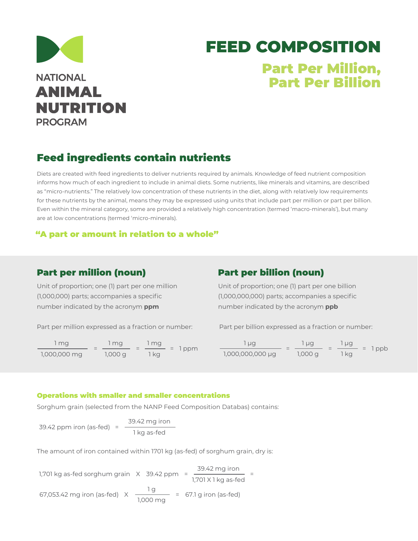

# FEED COMPOSITION Part Per Million, Part Per Billion

## Feed ingredients contain nutrients

Diets are created with feed ingredients to deliver nutrients required by animals. Knowledge of feed nutrient composition informs how much of each ingredient to include in animal diets. Some nutrients, like minerals and vitamins, are described as "micro-nutrients." The relatively low concentration of these nutrients in the diet, along with relatively low requirements for these nutrients by the animal, means they may be expressed using units that include part per million or part per billion. Even within the mineral category, some are provided a relatively high concentration (termed 'macro-minerals'), but many are at low concentrations (termed 'micro-minerals).

### "A part or amount in relation to a whole"

## Part per million (noun)

Unit of proportion; one (1) part per one million (1,000,000) parts; accompanies a specific number indicated by the acronym **ppm**

Part per million expressed as a fraction or number:

 $=$   $\frac{1}{2}$  =  $\frac{1}{2}$  = 1 ppm 1 mg 1,000,000 mg 1 mg 1,000 g 1 mg 1 kg

## Part per billion (noun)

Unit of proportion; one (1) part per one billion (1,000,000,000) parts; accompanies a specific number indicated by the acronym **ppb**

Part per billion expressed as a fraction or number:

 $=$   $\frac{10}{2}$  =  $\frac{10}{2}$  = 1ppb 1 µg 1,000,000,000 µg 1 µg 1,000 g 1 µg 1 kg

#### Operations with smaller and smaller concentrations

Sorghum grain (selected from the NANP Feed Composition Databas) contains:

39.42 ppm iron (as-fed)  $=$   $\frac{39.42 \text{ mg iron}}{1000 \text{ kg/m}^3}$ 1 kg as-fed

The amount of iron contained within 1701 kg (as-fed) of sorghum grain, dry is:

1,701 kg as-fed sorghum grain X 39.42 ppm = <del>39.42 mg iron </del> = 1,701 X 1 kg as-fed 67,053.42 mg iron (as-fed)  $\chi = \frac{1 g}{\sqrt{2}} = 67.1 g$  iron (as-fed) 1,000 mg